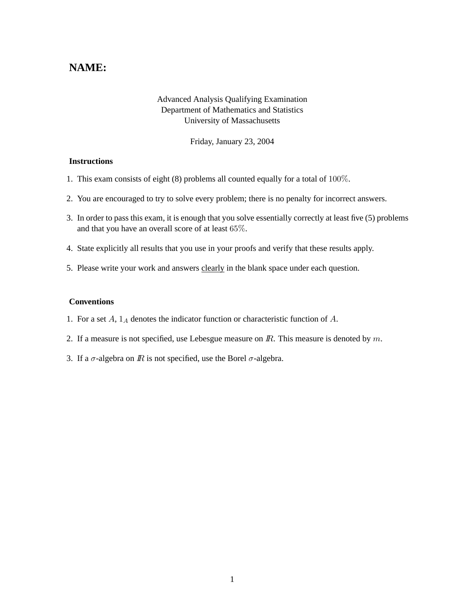## **NAME:**

## Advanced Analysis Qualifying Examination Department of Mathematics and Statistics University of Massachusetts

Friday, January 23, 2004

## **Instructions**

- 1. This exam consists of eight (8) problems all counted equally for a total of 100%.
- 2. You are encouraged to try to solve every problem; there is no penalty for incorrect answers.
- 3. In order to pass this exam, it is enough that you solve essentially correctly at least five (5) problems and that you have an overall score of at least 65%.
- 4. State explicitly all results that you use in your proofs and verify that these results apply.
- 5. Please write your work and answers clearly in the blank space under each question.

## **Conventions**

- 1. For a set  $A$ ,  $1_A$  denotes the indicator function or characteristic function of  $A$ .
- 2. If a measure is not specified, use Lebesgue measure on  $\mathbb{R}$ . This measure is denoted by  $m$ .
- 3. If a  $\sigma$ -algebra on  $\mathbb R$  is not specified, use the Borel  $\sigma$ -algebra.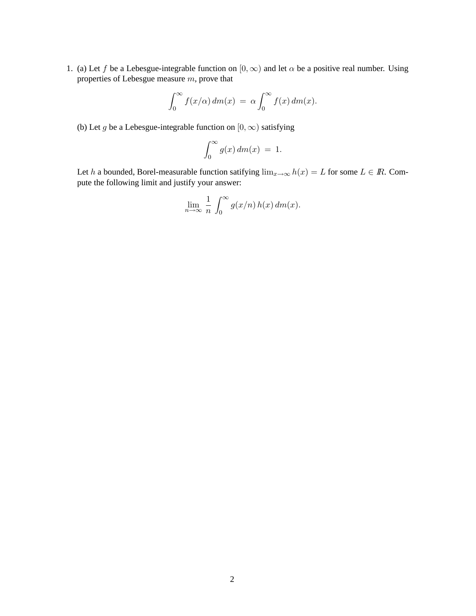1. (a) Let f be a Lebesgue-integrable function on  $[0, \infty)$  and let  $\alpha$  be a positive real number. Using properties of Lebesgue measure m, prove that

$$
\int_0^\infty f(x/\alpha) dm(x) = \alpha \int_0^\infty f(x) dm(x).
$$

(b) Let g be a Lebesgue-integrable function on  $[0, \infty)$  satisfying

$$
\int_0^\infty g(x) \, dm(x) \ = \ 1.
$$

Let h a bounded, Borel-measurable function satifying  $\lim_{x\to\infty} h(x) = L$  for some  $L \in \mathbb{R}$ . Compute the following limit and justify your answer:

$$
\lim_{n \to \infty} \frac{1}{n} \int_0^\infty g(x/n) h(x) dm(x).
$$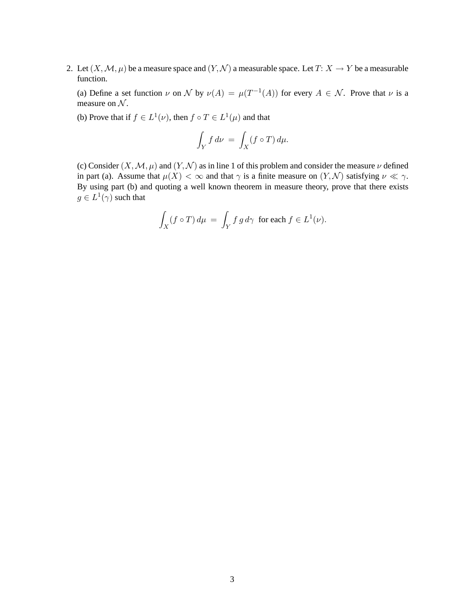2. Let  $(X, \mathcal{M}, \mu)$  be a measure space and  $(Y, \mathcal{N})$  a measurable space. Let  $T: X \to Y$  be a measurable function.

(a) Define a set function  $\nu$  on  $\mathcal N$  by  $\nu(A) = \mu(T^{-1}(A))$  for every  $A \in \mathcal N$ . Prove that  $\nu$  is a measure on  $N$ .

(b) Prove that if  $f \in L^1(\nu)$ , then  $f \circ T \in L^1(\mu)$  and that

$$
\int_Y f \, d\nu \, = \, \int_X (f \circ T) \, d\mu.
$$

(c) Consider  $(X, \mathcal{M}, \mu)$  and  $(Y, \mathcal{N})$  as in line 1 of this problem and consider the measure  $\nu$  defined in part (a). Assume that  $\mu(X) < \infty$  and that  $\gamma$  is a finite measure on  $(Y, \mathcal{N})$  satisfying  $\nu \ll \gamma$ . By using part (b) and quoting a well known theorem in measure theory, prove that there exists  $g \in L^1(\gamma)$  such that

$$
\int_X (f \circ T) d\mu = \int_Y f g d\gamma \text{ for each } f \in L^1(\nu).
$$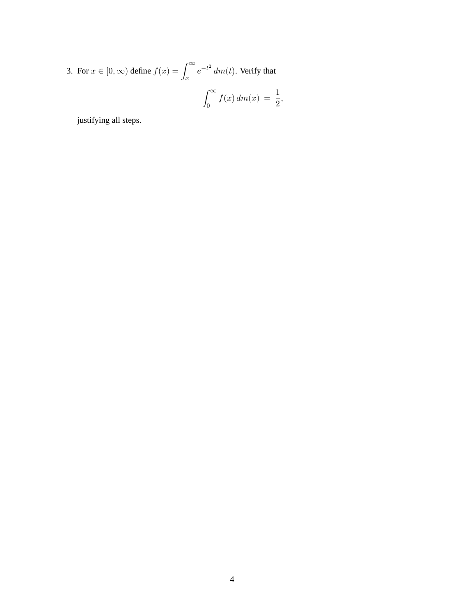3. For  $x \in [0, \infty)$  define  $f(x) = \int_{-\infty}^{\infty}$ x  $e^{-t^2}$  dm(t). Verify that  $\int^{\infty}$  $f(x) dm(x) = \frac{1}{2},$ 

0

justifying all steps.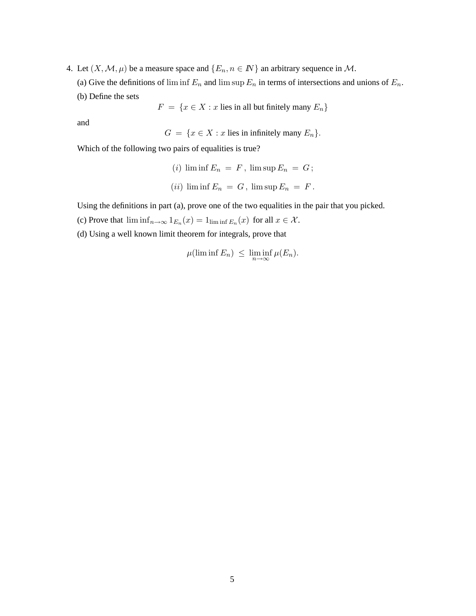- 4. Let  $(X, \mathcal{M}, \mu)$  be a measure space and  $\{E_n, n \in \mathbb{N}\}\$ an arbitrary sequence in M.
	- (a) Give the definitions of lim inf  $E_n$  and lim sup  $E_n$  in terms of intersections and unions of  $E_n$ .
	- (b) Define the sets

 $F = \{x \in X : x \text{ lies in all but finitely many } E_n\}$ 

and

$$
G = \{x \in X : x \text{ lies in infinitely many } E_n\}.
$$

Which of the following two pairs of equalities is true?

- (i)  $\liminf E_n = F$ ,  $\limsup E_n = G$ ;
- (*ii*)  $\liminf E_n = G$ ,  $\limsup E_n = F$ .

Using the definitions in part (a), prove one of the two equalities in the pair that you picked.

- (c) Prove that  $\liminf_{n\to\infty} 1_{E_n}(x) = 1_{\liminf E_n}(x)$  for all  $x \in \mathcal{X}$ .
- (d) Using a well known limit theorem for integrals, prove that

$$
\mu(\liminf E_n) \leq \liminf_{n \to \infty} \mu(E_n).
$$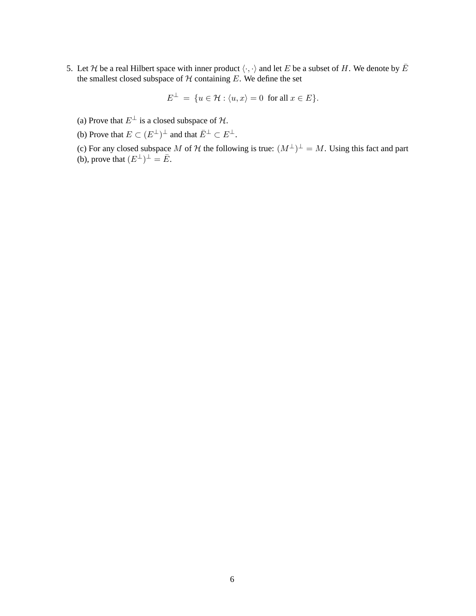5. Let H be a real Hilbert space with inner product  $\langle \cdot, \cdot \rangle$  and let E be a subset of H. We denote by  $\overline{E}$ the smallest closed subspace of  $H$  containing  $E$ . We define the set

$$
E^{\perp} = \{ u \in \mathcal{H} : \langle u, x \rangle = 0 \text{ for all } x \in E \}.
$$

- (a) Prove that  $E^{\perp}$  is a closed subspace of  $\mathcal{H}$ .
- (b) Prove that  $E \subset (E^{\perp})^{\perp}$  and that  $\overline{E}^{\perp} \subset E^{\perp}$ .

(c) For any closed subspace M of H the following is true:  $(M^{\perp})^{\perp} = M$ . Using this fact and part (b), prove that  $(E^{\perp})^{\perp} = \overline{E}$ .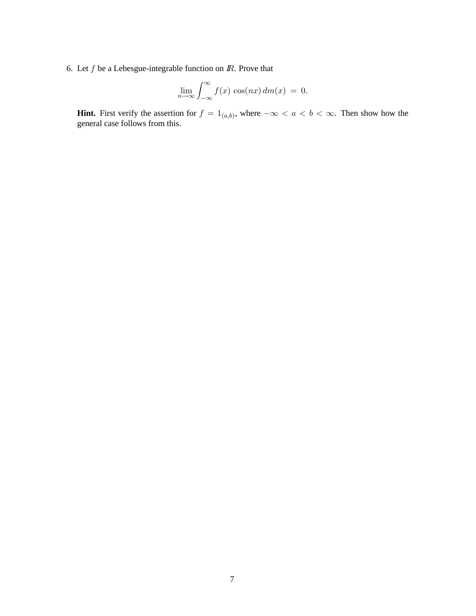6. Let  $f$  be a Lebesgue-integrable function on  $I\!R$ . Prove that

$$
\lim_{n \to \infty} \int_{-\infty}^{\infty} f(x) \cos(nx) dm(x) = 0.
$$

**Hint.** First verify the assertion for  $f = 1_{(a,b)}$ , where  $-\infty < a < b < \infty$ . Then show how the general case follows from this.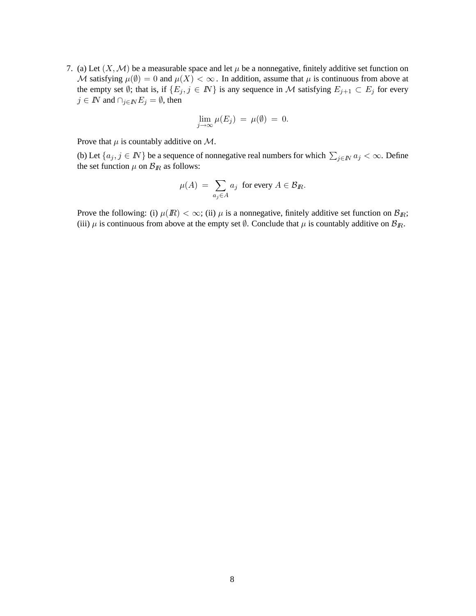7. (a) Let  $(X, \mathcal{M})$  be a measurable space and let  $\mu$  be a nonnegative, finitely additive set function on M satisfying  $\mu(\emptyset) = 0$  and  $\mu(X) < \infty$ . In addition, assume that  $\mu$  is continuous from above at the empty set Ø; that is, if  $\{E_j, j \in \mathbb{N}\}\$  is any sequence in M satisfying  $E_{j+1} \subset E_j$  for every  $j \in I\!\!N$  and  $\cap_{j \in I\!\!N} E_j = \emptyset$ , then

$$
\lim_{j\to\infty}\mu(E_j) = \mu(\emptyset) = 0.
$$

Prove that  $\mu$  is countably additive on M.

(b) Let  $\{a_j, j \in \mathbb{N}\}$  be a sequence of nonnegative real numbers for which  $\sum_{j \in \mathbb{N}} a_j < \infty$ . Define the set function  $\mu$  on  $\mathcal{B}_R$  as follows:

$$
\mu(A) = \sum_{a_j \in A} a_j \text{ for every } A \in \mathcal{B}_R.
$$

Prove the following: (i)  $\mu$ (*R*) <  $\infty$ ; (ii)  $\mu$  is a nonnegative, finitely additive set function on  $\mathcal{B}_R$ ; (iii)  $\mu$  is continuous from above at the empty set  $\emptyset$ . Conclude that  $\mu$  is countably additive on  $\mathcal{B}_R$ .